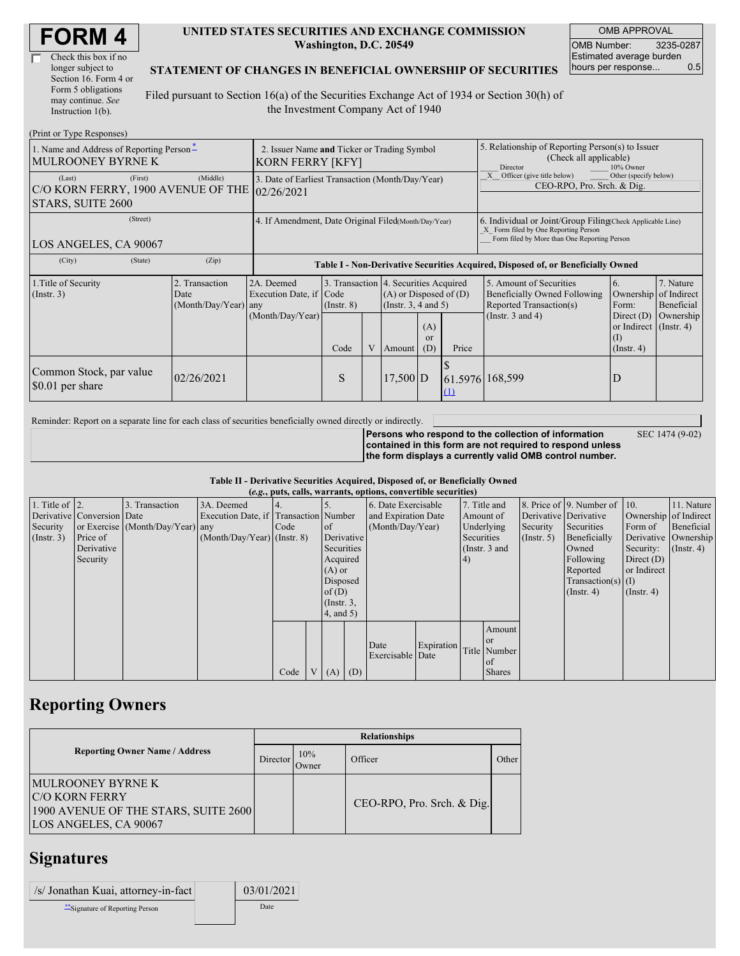| Check this box if no  |
|-----------------------|
| longer subject to     |
| Section 16. Form 4 or |
| Form 5 obligations    |
| may continue. See     |
| Instruction $1(b)$ .  |

#### **UNITED STATES SECURITIES AND EXCHANGE COMMISSION Washington, D.C. 20549**

OMB APPROVAL OMB Number: 3235-0287 Estimated average burden hours per response... 0.5

#### **STATEMENT OF CHANGES IN BENEFICIAL OWNERSHIP OF SECURITIES**

Filed pursuant to Section 16(a) of the Securities Exchange Act of 1934 or Section 30(h) of the Investment Company Act of 1940

| (Print or Type Responses)                                                    |                                                                                                                                                                                                                                                       |                                                                                  |           |                                                                                                             |                                                                                                          |                                      |                                                                                                                                                    |                                                                                   |                       |  |  |
|------------------------------------------------------------------------------|-------------------------------------------------------------------------------------------------------------------------------------------------------------------------------------------------------------------------------------------------------|----------------------------------------------------------------------------------|-----------|-------------------------------------------------------------------------------------------------------------|----------------------------------------------------------------------------------------------------------|--------------------------------------|----------------------------------------------------------------------------------------------------------------------------------------------------|-----------------------------------------------------------------------------------|-----------------------|--|--|
| 1. Name and Address of Reporting Person-<br><b>MULROONEY BYRNE K</b>         | 2. Issuer Name and Ticker or Trading Symbol<br>KORN FERRY [KFY]                                                                                                                                                                                       |                                                                                  |           |                                                                                                             |                                                                                                          |                                      | 5. Relationship of Reporting Person(s) to Issuer<br>(Check all applicable)<br>10% Owner<br><b>Director</b>                                         |                                                                                   |                       |  |  |
| (First)<br>(Last)<br>C/O KORN FERRY, 1900 AVENUE OF THE<br>STARS, SUITE 2600 | (Middle)                                                                                                                                                                                                                                              | 3. Date of Earliest Transaction (Month/Day/Year)<br>02/26/2021                   |           |                                                                                                             |                                                                                                          |                                      |                                                                                                                                                    | Other (specify below)<br>Officer (give title below)<br>CEO-RPO, Pro. Srch. & Dig. |                       |  |  |
| (Street)<br>LOS ANGELES, CA 90067                                            | 4. If Amendment, Date Original Filed(Month/Day/Year)                                                                                                                                                                                                  |                                                                                  |           |                                                                                                             |                                                                                                          |                                      | 6. Individual or Joint/Group Filing Check Applicable Line)<br>X Form filed by One Reporting Person<br>Form filed by More than One Reporting Person |                                                                                   |                       |  |  |
| (City)<br>(State)                                                            | (Zip)                                                                                                                                                                                                                                                 | Table I - Non-Derivative Securities Acquired, Disposed of, or Beneficially Owned |           |                                                                                                             |                                                                                                          |                                      |                                                                                                                                                    |                                                                                   |                       |  |  |
| 1. Title of Security<br>(Insert. 3)                                          | 3. Transaction 4. Securities Acquired<br>2. Transaction<br>2A. Deemed<br>$(A)$ or Disposed of $(D)$<br>Execution Date, if Code<br>Date<br>(Month/Day/Year) any<br>(Insert. 3, 4 and 5)<br>$($ Instr. $8)$<br>(Month/Day/Year)<br>(A)<br><sub>or</sub> |                                                                                  |           | 5. Amount of Securities<br>Beneficially Owned Following<br>Reported Transaction(s)<br>(Instr. $3$ and $4$ ) | 6.<br>Ownership of Indirect<br>Form:<br>Direct $(D)$<br>or Indirect $($ Instr. 4 $)$<br>$\left(1\right)$ | 7. Nature<br>Beneficial<br>Ownership |                                                                                                                                                    |                                                                                   |                       |  |  |
| Common Stock, par value<br>\$0.01 per share                                  | 02/26/2021                                                                                                                                                                                                                                            |                                                                                  | Code<br>S |                                                                                                             | V Amount<br>$17,500$ D                                                                                   | (D)                                  | Price<br>61.5976 168,599<br>(1)                                                                                                                    |                                                                                   | $($ Instr. 4 $)$<br>D |  |  |

Reminder: Report on a separate line for each class of securities beneficially owned directly or indirectly.

**Persons who respond to the collection of information contained in this form are not required to respond unless the form displays a currently valid OMB control number.** SEC 1474 (9-02)

**Table II - Derivative Securities Acquired, Disposed of, or Beneficially Owned (***e.g.***, puts, calls, warrants, options, convertible securities)**

|                        | $(0.8)$ pais, cans, was randy operated, convertible securities, |                                  |                                       |      |  |                 |     |                     |            |            |               |                       |                              |                       |                      |
|------------------------|-----------------------------------------------------------------|----------------------------------|---------------------------------------|------|--|-----------------|-----|---------------------|------------|------------|---------------|-----------------------|------------------------------|-----------------------|----------------------|
| 1. Title of $\vert$ 2. |                                                                 | 3. Transaction                   | 3A. Deemed                            | 4.   |  |                 |     | 6. Date Exercisable |            |            | 7. Title and  |                       | 8. Price of 9. Number of 10. |                       | 11. Nature           |
|                        | Derivative Conversion Date                                      |                                  | Execution Date, if Transaction Number |      |  |                 |     | and Expiration Date |            | Amount of  |               | Derivative Derivative |                              | Ownership of Indirect |                      |
| Security               |                                                                 | or Exercise (Month/Day/Year) any |                                       | Code |  | of              |     | (Month/Day/Year)    |            |            | Underlying    | Security              | Securities                   | Form of               | Beneficial           |
| $($ Instr. 3 $)$       | Price of                                                        |                                  | $(Month/Day/Year)$ (Instr. 8)         |      |  | Derivative      |     |                     |            | Securities |               | $($ Instr. 5)         | Beneficially                 |                       | Derivative Ownership |
|                        | Derivative                                                      |                                  |                                       |      |  | Securities      |     |                     |            |            | (Instr. 3 and |                       | Owned                        | Security:             | $($ Instr. 4)        |
|                        | Security                                                        |                                  |                                       |      |  | Acquired        |     |                     |            | 4)         |               |                       | Following                    | Direct $(D)$          |                      |
|                        |                                                                 |                                  |                                       |      |  | $(A)$ or        |     |                     |            |            |               |                       | Reported                     | or Indirect           |                      |
|                        |                                                                 |                                  |                                       |      |  | Disposed        |     |                     |            |            |               |                       | $Transaction(s)$ (I)         |                       |                      |
|                        |                                                                 |                                  |                                       |      |  | of(D)           |     |                     |            |            |               |                       | $($ Instr. 4)                | $($ Instr. 4 $)$      |                      |
|                        |                                                                 |                                  |                                       |      |  | $($ Instr. $3,$ |     |                     |            |            |               |                       |                              |                       |                      |
|                        |                                                                 |                                  |                                       |      |  | $4$ , and $5$ ) |     |                     |            |            |               |                       |                              |                       |                      |
|                        |                                                                 |                                  |                                       |      |  |                 |     |                     |            |            | Amount        |                       |                              |                       |                      |
|                        |                                                                 |                                  |                                       |      |  |                 |     |                     |            |            | <sub>or</sub> |                       |                              |                       |                      |
|                        |                                                                 |                                  |                                       |      |  |                 |     | Date                | Expiration |            | Title Number  |                       |                              |                       |                      |
|                        |                                                                 |                                  |                                       |      |  |                 |     | Exercisable Date    |            |            | of            |                       |                              |                       |                      |
|                        |                                                                 |                                  |                                       | Code |  | V(A)            | (D) |                     |            |            | <b>Shares</b> |                       |                              |                       |                      |
|                        |                                                                 |                                  |                                       |      |  |                 |     |                     |            |            |               |                       |                              |                       |                      |

## **Reporting Owners**

|                                                                                                                      | <b>Relationships</b> |              |                            |       |  |  |  |  |  |
|----------------------------------------------------------------------------------------------------------------------|----------------------|--------------|----------------------------|-------|--|--|--|--|--|
| <b>Reporting Owner Name / Address</b>                                                                                | Director             | 10%<br>Owner | Officer                    | Other |  |  |  |  |  |
| <b>IMULROONEY BYRNE K</b><br><b>IC/O KORN FERRY</b><br>1900 AVENUE OF THE STARS, SUITE 2600<br>LOS ANGELES, CA 90067 |                      |              | CEO-RPO, Pro. Srch. & Dig. |       |  |  |  |  |  |

## **Signatures**

| /s/ Jonathan Kuai, attorney-in-fact | 03/01/2021 |
|-------------------------------------|------------|
| ** Signature of Reporting Person    | Date       |